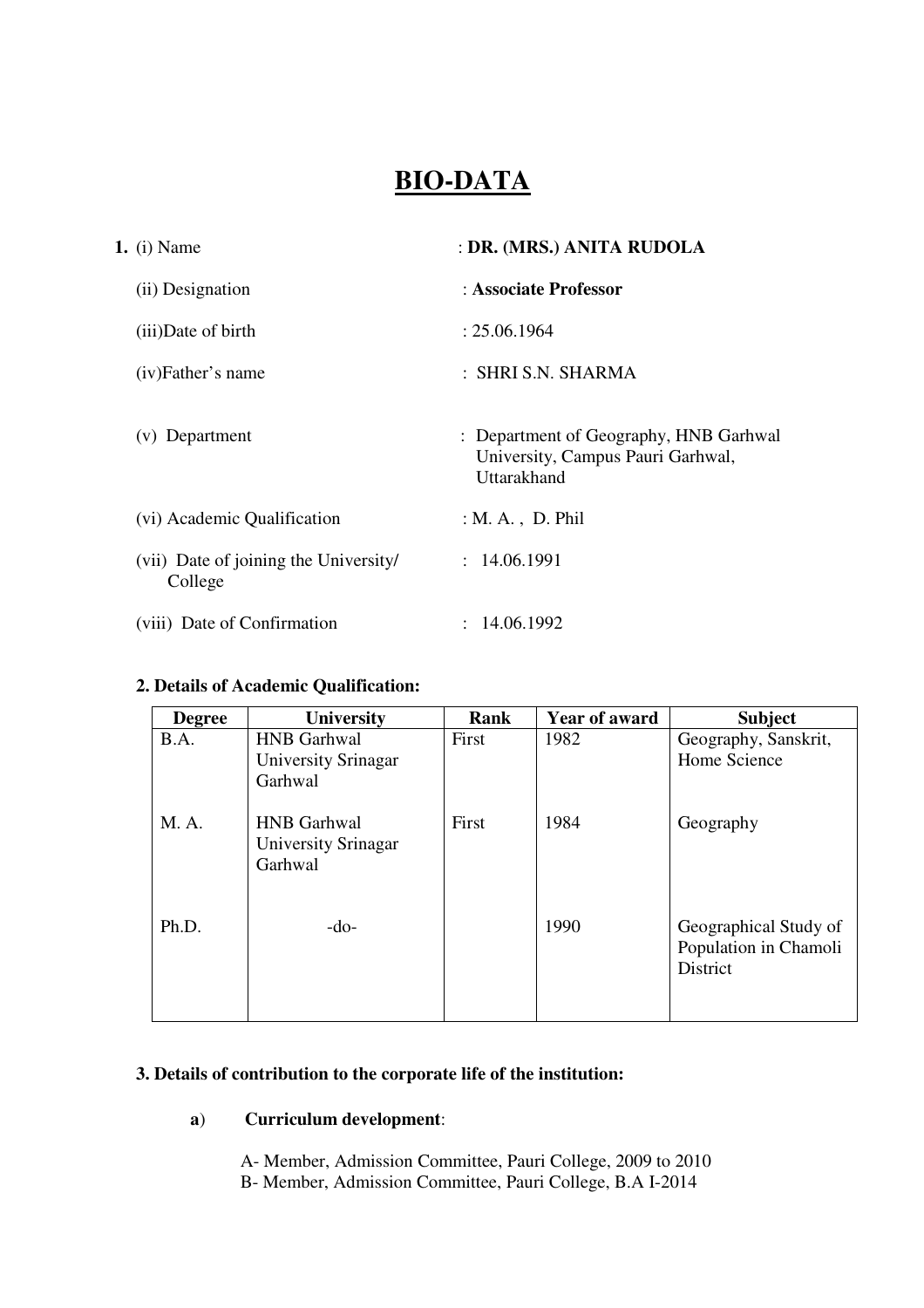# **BIO-DATA**

| <b>1.</b> (i) Name                               | : DR. (MRS.) ANITA RUDOLA                                                                  |
|--------------------------------------------------|--------------------------------------------------------------------------------------------|
| (ii) Designation                                 | : Associate Professor                                                                      |
| (iii)Date of birth                               | : 25.06.1964                                                                               |
| (iv)Father's name                                | : SHRI S.N. SHARMA                                                                         |
| (v) Department                                   | : Department of Geography, HNB Garhwal<br>University, Campus Pauri Garhwal,<br>Uttarakhand |
| (vi) Academic Qualification                      | $: M. A.$ , D. Phil                                                                        |
| (vii) Date of joining the University/<br>College | : 14.06.1991                                                                               |
| (viii) Date of Confirmation                      | : 14.06.1992                                                                               |

## **2. Details of Academic Qualification:**

| <b>Degree</b> | <b>University</b>                                    | Rank  | <b>Year of award</b> | <b>Subject</b>                                                    |
|---------------|------------------------------------------------------|-------|----------------------|-------------------------------------------------------------------|
| B.A.          | <b>HNB</b> Garhwal                                   | First | 1982                 | Geography, Sanskrit,                                              |
|               | University Srinagar<br>Garhwal                       |       |                      | Home Science                                                      |
| M. A.         | <b>HNB</b> Garhwal<br>University Srinagar<br>Garhwal | First | 1984                 | Geography                                                         |
| Ph.D.         | $-do-$                                               |       | 1990                 | Geographical Study of<br>Population in Chamoli<br><b>District</b> |

## **3. Details of contribution to the corporate life of the institution:**

## **a**) **Curriculum development**:

A- Member, Admission Committee, Pauri College, 2009 to 2010 B- Member, Admission Committee, Pauri College, B.A I-2014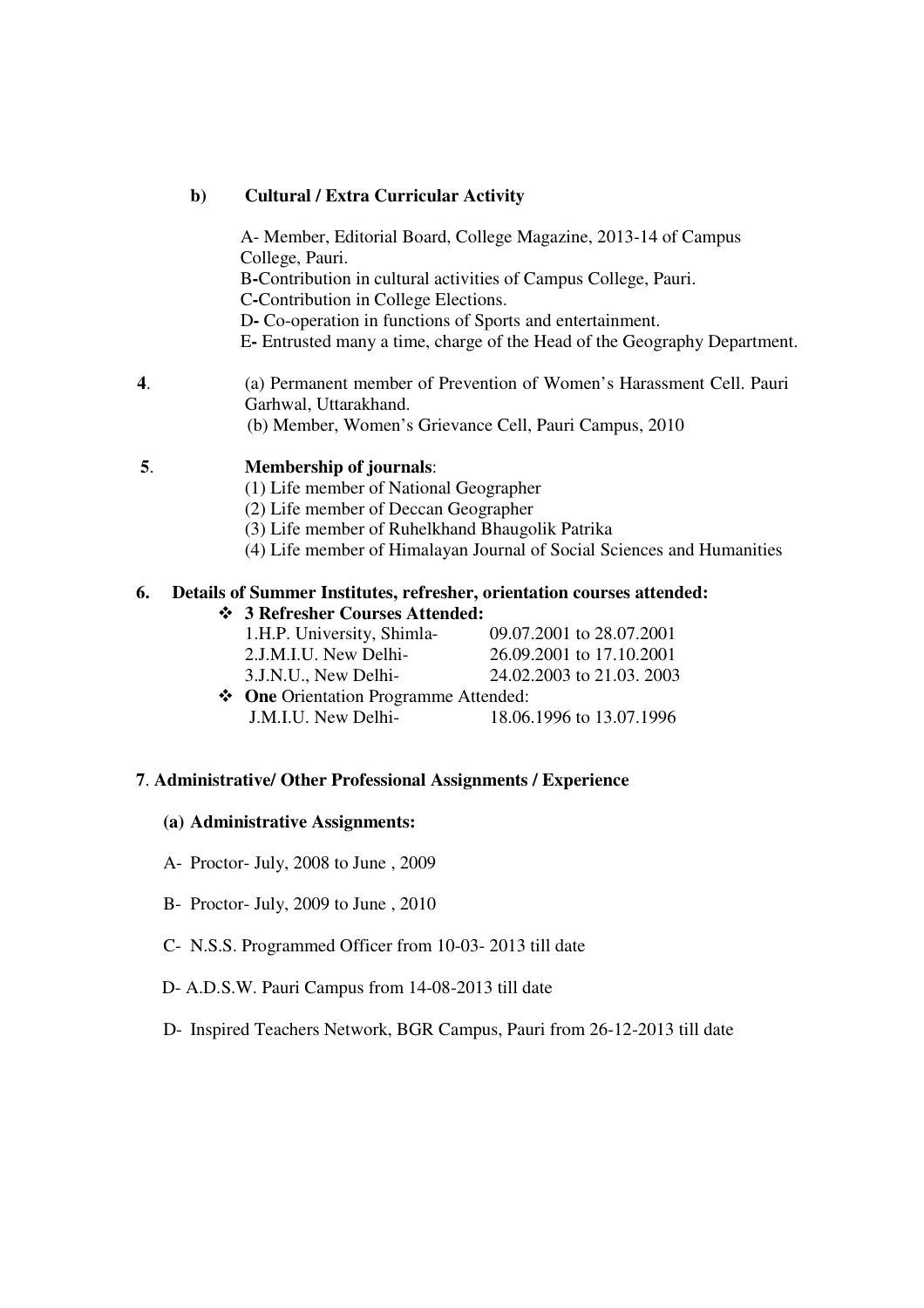#### **b) Cultural / Extra Curricular Activity**

A- Member, Editorial Board, College Magazine, 2013-14 of Campus College, Pauri. B**-**Contribution in cultural activities of Campus College, Pauri. C**-**Contribution in College Elections. D**-** Co-operation in functions of Sports and entertainment. E**-** Entrusted many a time, charge of the Head of the Geography Department.

**4**. (a) Permanent member of Prevention of Women's Harassment Cell. Pauri Garhwal, Uttarakhand. (b) Member, Women's Grievance Cell, Pauri Campus, 2010

## **5**. **Membership of journals**:

- (1) Life member of National Geographer
- (2) Life member of Deccan Geographer
- (3) Life member of Ruhelkhand Bhaugolik Patrika
- (4) Life member of Himalayan Journal of Social Sciences and Humanities

## **6. Details of Summer Institutes, refresher, orientation courses attended:**

## **3 Refresher Courses Attended:**

| 1.H.P. University, Shimla- | 09.07.2001 to 28.07.2001 |
|----------------------------|--------------------------|
|----------------------------|--------------------------|

2.J.M.I.U. New Delhi- 26.09.2001 to 17.10.2001

3.J.N.U., New Delhi- 24.02.2003 to 21.03. 2003

 **One** Orientation Programme Attended: J.M.I.U. New Delhi- 18.06.1996 to 13.07.1996

## **7**. **Administrative/ Other Professional Assignments / Experience**

#### **(a) Administrative Assignments:**

- A- Proctor- July, 2008 to June , 2009
- B- Proctor- July, 2009 to June , 2010
- C- N.S.S. Programmed Officer from 10-03- 2013 till date
- D- A.D.S.W. Pauri Campus from 14-08-2013 till date
- D- Inspired Teachers Network, BGR Campus, Pauri from 26-12-2013 till date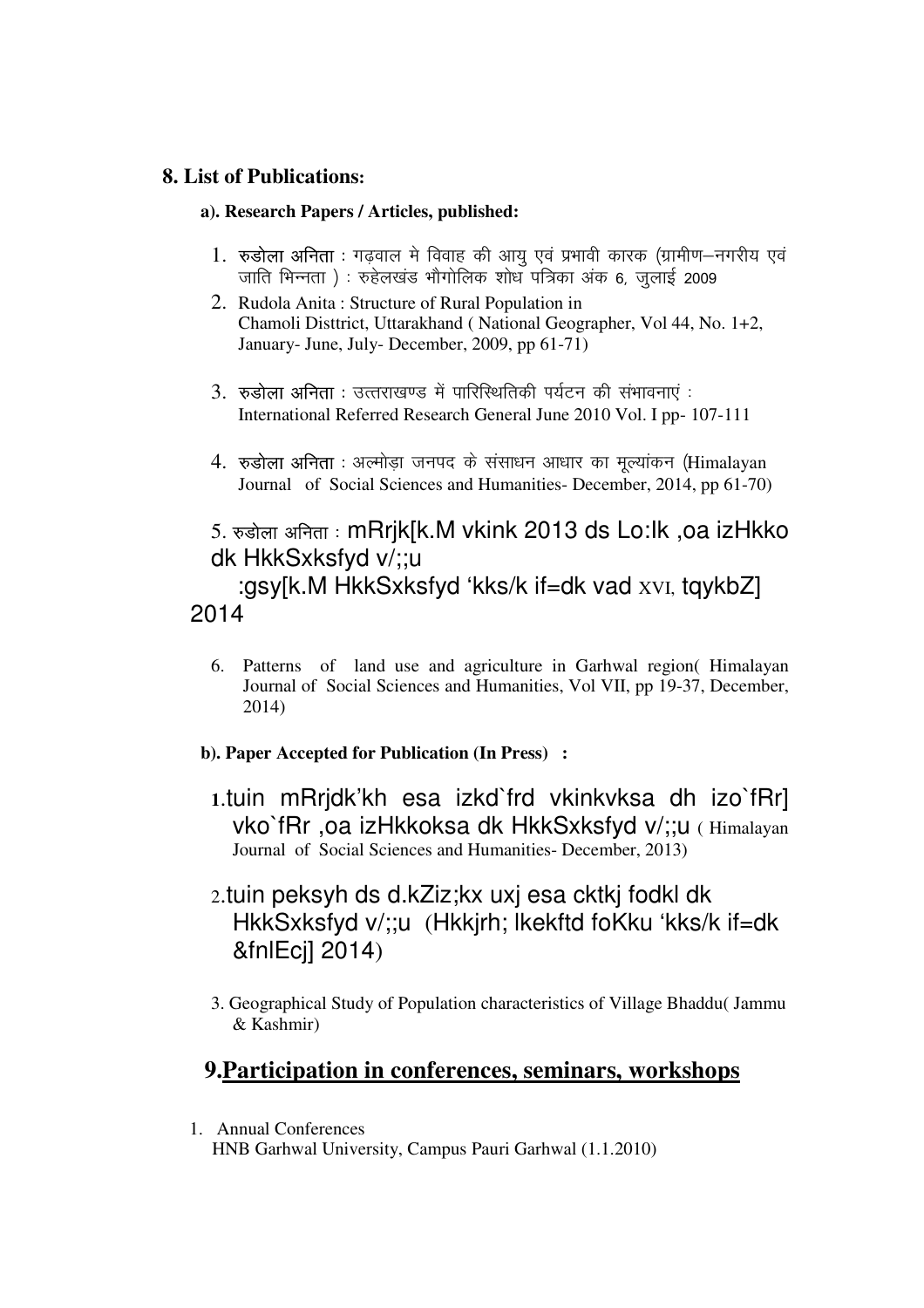## **8. List of Publications:**

## **a). Research Papers / Articles, published:**

- 1. रुडोला अनिता : गढवाल मे विवाह की आयु एवं प्रभावी कारक (ग्रामीण–नगरीय एवं जाति भिन्नता) : रुहेलखंड भौगोलिक शोध पत्रिका अंक 6, जुलाई 2009
- 2. Rudola Anita : Structure of Rural Population in Chamoli Disttrict, Uttarakhand ( National Geographer, Vol 44, No. 1+2, January- June, July- December, 2009, pp 61-71)
- $3.$   $\sigma$ डोला अनिता : उत्तराखण्ड में पारिस्थितिकी पर्यटन की संभावनाएं : International Referred Research General June 2010 Vol. I pp- 107-111
- 4.  $\sigma$ डोला अनिता : अल्मोड़ा जनपद के संसाधन आधार का मूल्यांकन (Himalayan Journal of Social Sciences and Humanities- December, 2014, pp 61-70)

## 5. रुड़ोला अनिता : mRrjk[k.M vkink 2013 ds Lo:lk ,oa izHkko dk HkkSxksfyd v/;;u

 :gsy[k.M HkkSxksfyd 'kks/k if=dk vad XVI, tqykbZ] 2014

6. Patterns of land use and agriculture in Garhwal region( Himalayan Journal of Social Sciences and Humanities, Vol VII, pp 19-37, December, 2014)

## **b). Paper Accepted for Publication (In Press) :**

- **1**.tuin mRrjdk'kh esa izkd`frd vkinkvksa dh izo`fRr] vko`fRr ,oa izHkkoksa dk HkkSxksfyd v/;;u ( Himalayan Journal of Social Sciences and Humanities- December, 2013)
- 2.tuin peksyh ds d.kZiz;kx uxj esa cktkj fodkl dk HkkSxksfyd v/;;u (Hkkjrh; lkekftd foKku 'kks/k if=dk &fnlEcj] 2014)
- 3. Geographical Study of Population characteristics of Village Bhaddu( Jammu & Kashmir)

## **9.Participation in conferences, seminars, workshops**

1. Annual Conferences HNB Garhwal University, Campus Pauri Garhwal (1.1.2010)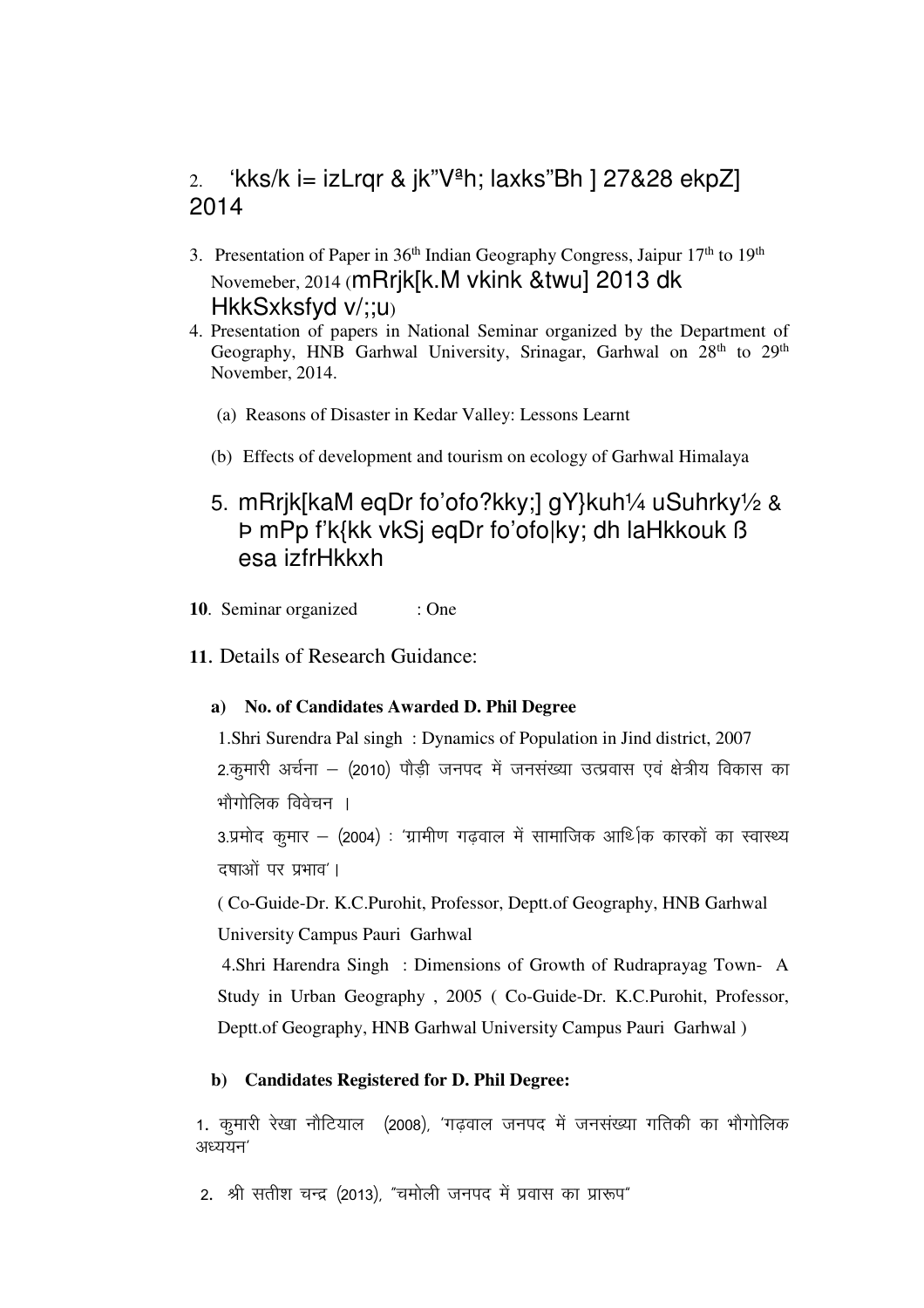## 2. 'kks/k i= izLrqr & jk" $V^{\underline{a}}$ h; laxks"Bh ] 27&28 ekpZ] 2014

- 3. Presentation of Paper in 36<sup>th</sup> Indian Geography Congress, Jaipur 17<sup>th</sup> to 19<sup>th</sup> Novemeber, 2014 (mRrjk[k.M vkink &twu] 2013 dk HkkSxksfyd v/;;u)
- 4. Presentation of papers in National Seminar organized by the Department of Geography, HNB Garhwal University, Srinagar, Garhwal on 28<sup>th</sup> to 29<sup>th</sup> November, 2014.
	- (a) Reasons of Disaster in Kedar Valley: Lessons Learnt
	- (b) Effects of development and tourism on ecology of Garhwal Himalaya
	- 5. mRrjk[kaM eqDr fo'ofo?kky;] gY}kuh¼ uSuhrky½ & Þ mPp f'k{kk vkSj eqDr fo'ofo|ky; dh laHkkouk ß esa izfrHkkxh
- **10**. Seminar organized : One
- **11**. Details of Research Guidance:

## **a) No. of Candidates Awarded D. Phil Degree**

1.Shri Surendra Pal singh : Dynamics of Population in Jind district, 2007 2.कुमारी अर्चना – (2010) पौड़ी जनपद में जनसंख्या उत्प्रवास एवं क्षेत्रीय विकास का भौगोलिक विवेचन ।

 $3.$ प्रमोद कमार – (2004) : 'ग्रामीण गढवाल में सामाजिक आर्थिक कारकों का स्वास्थ्य दषाओं पर प्रभाव'।

( Co-Guide-Dr. K.C.Purohit, Professor, Deptt.of Geography, HNB Garhwal University Campus Pauri Garhwal

 4.Shri Harendra Singh : Dimensions of Growth of Rudraprayag Town- A Study in Urban Geography , 2005 ( Co-Guide-Dr. K.C.Purohit, Professor, Deptt.of Geography, HNB Garhwal University Campus Pauri Garhwal )

#### **b) Candidates Registered for D. Phil Degree:**

1. कुमारी रेखा नौटियाल (2008), 'गढवाल जनपद में जनसंख्या गतिकी का भौगोलिक  $3E$ ययन $'$ 

2. श्री सतीश चन्द्र (2013), "चमोली जनपद में प्रवास का प्रारूप"